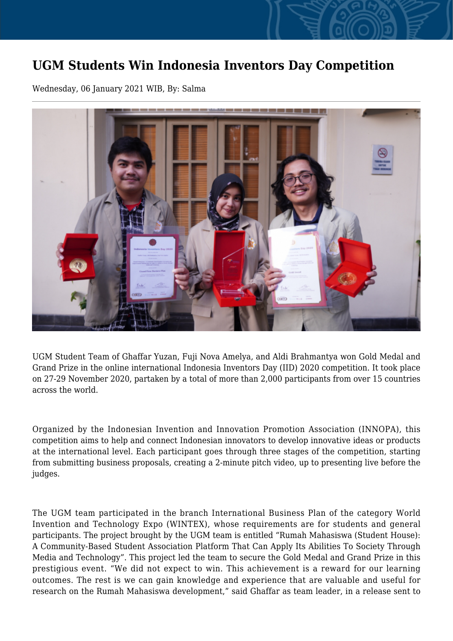## **UGM Students Win Indonesia Inventors Day Competition**

Wednesday, 06 January 2021 WIB, By: Salma



UGM Student Team of Ghaffar Yuzan, Fuji Nova Amelya, and Aldi Brahmantya won Gold Medal and Grand Prize in the online international Indonesia Inventors Day (IID) 2020 competition. It took place on 27-29 November 2020, partaken by a total of more than 2,000 participants from over 15 countries across the world.

Organized by the Indonesian Invention and Innovation Promotion Association (INNOPA), this competition aims to help and connect Indonesian innovators to develop innovative ideas or products at the international level. Each participant goes through three stages of the competition, starting from submitting business proposals, creating a 2-minute pitch video, up to presenting live before the judges.

The UGM team participated in the branch International Business Plan of the category World Invention and Technology Expo (WINTEX), whose requirements are for students and general participants. The project brought by the UGM team is entitled "Rumah Mahasiswa (Student House): A Community-Based Student Association Platform That Can Apply Its Abilities To Society Through Media and Technology". This project led the team to secure the Gold Medal and Grand Prize in this prestigious event. "We did not expect to win. This achievement is a reward for our learning outcomes. The rest is we can gain knowledge and experience that are valuable and useful for research on the Rumah Mahasiswa development," said Ghaffar as team leader, in a release sent to